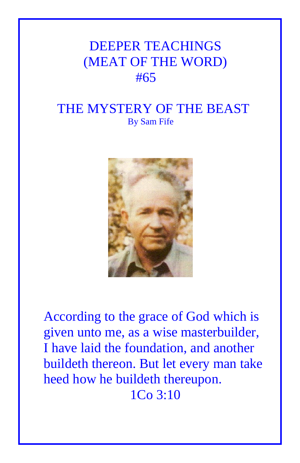## DEEPER TEACHINGS (MEAT OF THE WORD) #65

## THE MYSTERY OF THE BEAST By Sam Fife



According to the grace of God which is given unto me, as a wise masterbuilder, I have laid the foundation, and another buildeth thereon. But let every man take heed how he buildeth thereupon. 1Co 3:10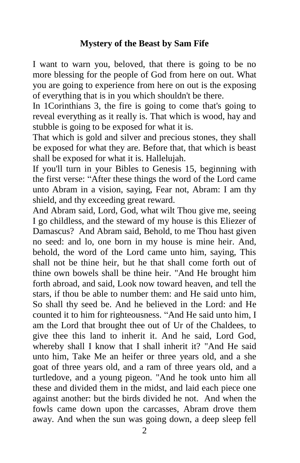## **Mystery of the Beast by Sam Fife**

I want to warn you, beloved, that there is going to be no more blessing for the people of God from here on out. What you are going to experience from here on out is the exposing of everything that is in you which shouldn't be there.

In 1Corinthians 3, the fire is going to come that's going to reveal everything as it really is. That which is wood, hay and stubble is going to be exposed for what it is.

That which is gold and silver and precious stones, they shall be exposed for what they are. Before that, that which is beast shall be exposed for what it is. Hallelujah.

If you'll turn in your Bibles to Genesis 15, beginning with the first verse: "After these things the word of the Lord came unto Abram in a vision, saying, Fear not, Abram: I am thy shield, and thy exceeding great reward.

And Abram said, Lord, God, what wilt Thou give me, seeing I go childless, and the steward of my house is this Eliezer of Damascus? And Abram said, Behold, to me Thou hast given no seed: and lo, one born in my house is mine heir. And, behold, the word of the Lord came unto him, saying, This shall not be thine heir, but he that shall come forth out of thine own bowels shall be thine heir. "And He brought him forth abroad, and said, Look now toward heaven, and tell the stars, if thou be able to number them: and He said unto him, So shall thy seed be. And he believed in the Lord: and He counted it to him for righteousness. "And He said unto him, I am the Lord that brought thee out of Ur of the Chaldees, to give thee this land to inherit it. And he said, Lord God, whereby shall I know that I shall inherit it? "And He said unto him, Take Me an heifer or three years old, and a she goat of three years old, and a ram of three years old, and a turtledove, and a young pigeon. "And he took unto him all these and divided them in the midst, and laid each piece one against another: but the birds divided he not. And when the fowls came down upon the carcasses, Abram drove them away. And when the sun was going down, a deep sleep fell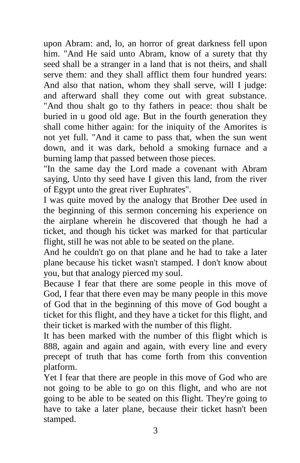upon Abram: and, lo, an horror of great darkness fell upon him. "And He said unto Abram, know of a surety that thy seed shall be a stranger in a land that is not theirs, and shall serve them: and they shall afflict them four hundred years: And also that nation, whom they shall serve, will I judge: and afterward shall they come out with great substance. "And thou shalt go to thy fathers in peace: thou shalt be buried in u good old age. But in the fourth generation they shall come hither again: for the iniquity of the Amorites is not yet full. "And it came to pass that, when the sun went down, and it was dark, behold a smoking furnace and a burning lamp that passed between those pieces.

"In the same day the Lord made a covenant with Abram saying, Unto thy seed have I given this land, from the river of Egypt unto the great river Euphrates".

I was quite moved by the analogy that Brother Dee used in the beginning of this sermon concerning his experience on the airplane wherein he discovered that though he had a ticket, and though his ticket was marked for that particular flight, still he was not able to be seated on the plane.

And he couldn't go on that plane and he had to take a later plane because his ticket wasn't stamped. I don't know about you, but that analogy pierced my soul.

Because I fear that there are some people in this move of God, I fear that there even may be many people in this move of God that in the beginning of this move of God bought a ticket for this flight, and they have a ticket for this flight, and their ticket is marked with the number of this flight.

It has been marked with the number of this flight which is 888, again and again and again, with every line and every precept of truth that has come forth from this convention platform.

Yet I fear that there are people in this move of God who are not going to be able to go on this flight, and who are not going to be able to be seated on this flight. They're going to have to take a later plane, because their ticket hasn't been stamped.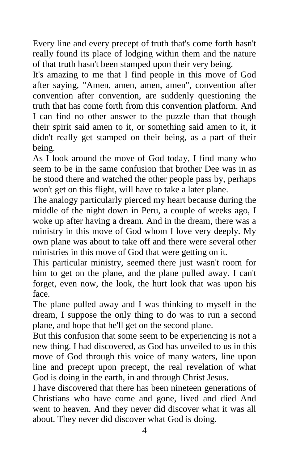Every line and every precept of truth that's come forth hasn't really found its place of lodging within them and the nature of that truth hasn't been stamped upon their very being.

It's amazing to me that I find people in this move of God after saying, "Amen, amen, amen, amen", convention after convention after convention, are suddenly questioning the truth that has come forth from this convention platform. And I can find no other answer to the puzzle than that though their spirit said amen to it, or something said amen to it, it didn't really get stamped on their being, as a part of their being.

As I look around the move of God today, I find many who seem to be in the same confusion that brother Dee was in as he stood there and watched the other people pass by, perhaps won't get on this flight, will have to take a later plane.

The analogy particularly pierced my heart because during the middle of the night down in Peru, a couple of weeks ago, I woke up after having a dream. And in the dream, there was a ministry in this move of God whom I love very deeply. My own plane was about to take off and there were several other ministries in this move of God that were getting on it.

This particular ministry, seemed there just wasn't room for him to get on the plane, and the plane pulled away. I can't forget, even now, the look, the hurt look that was upon his face.

The plane pulled away and I was thinking to myself in the dream, I suppose the only thing to do was to run a second plane, and hope that he'll get on the second plane.

But this confusion that some seem to be experiencing is not a new thing. I had discovered, as God has unveiled to us in this move of God through this voice of many waters, line upon line and precept upon precept, the real revelation of what God is doing in the earth, in and through Christ Jesus.

I have discovered that there has been nineteen generations of Christians who have come and gone, lived and died And went to heaven. And they never did discover what it was all about. They never did discover what God is doing.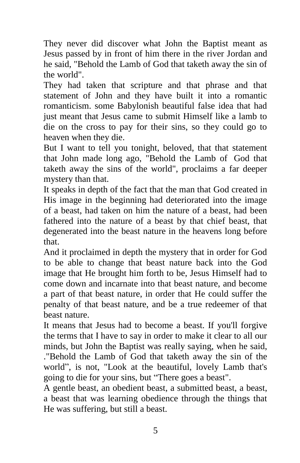They never did discover what John the Baptist meant as Jesus passed by in front of him there in the river Jordan and he said, "Behold the Lamb of God that taketh away the sin of the world".

They had taken that scripture and that phrase and that statement of John and they have built it into a romantic romanticism. some Babylonish beautiful false idea that had just meant that Jesus came to submit Himself like a lamb to die on the cross to pay for their sins, so they could go to heaven when they die.

But I want to tell you tonight, beloved, that that statement that John made long ago, "Behold the Lamb of God that taketh away the sins of the world", proclaims a far deeper mystery than that.

It speaks in depth of the fact that the man that God created in His image in the beginning had deteriorated into the image of a beast, had taken on him the nature of a beast, had been fathered into the nature of a beast by that chief beast, that degenerated into the beast nature in the heavens long before that.

And it proclaimed in depth the mystery that in order for God to be able to change that beast nature back into the God image that He brought him forth to be, Jesus Himself had to come down and incarnate into that beast nature, and become a part of that beast nature, in order that He could suffer the penalty of that beast nature, and be a true redeemer of that beast nature.

It means that Jesus had to become a beast. If you'll forgive the terms that I have to say in order to make it clear to all our minds, but John the Baptist was really saying, when he said, ."Behold the Lamb of God that taketh away the sin of the world", is not, "Look at the beautiful, lovely Lamb that's going to die for your sins, but "There goes a beast".

A gentle beast, an obedient beast, a submitted beast, a beast, a beast that was learning obedience through the things that He was suffering, but still a beast.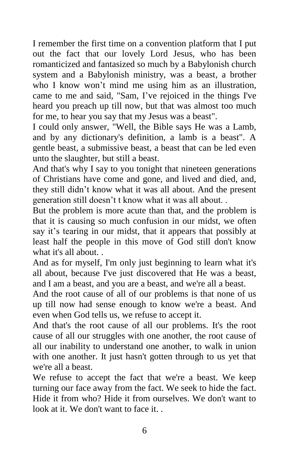I remember the first time on a convention platform that I put out the fact that our lovely Lord Jesus, who has been romanticized and fantasized so much by a Babylonish church system and a Babylonish ministry, was a beast, a brother who I know won't mind me using him as an illustration, came to me and said, "Sam, I've rejoiced in the things I've heard you preach up till now, but that was almost too much for me, to hear you say that my Jesus was a beast".

I could only answer, "Well, the Bible says He was a Lamb, and by any dictionary's definition, a lamb is a beast". A gentle beast, a submissive beast, a beast that can be led even unto the slaughter, but still a beast.

And that's why I say to you tonight that nineteen generations of Christians have come and gone, and lived and died, and, they still didn't know what it was all about. And the present generation still doesn't t know what it was all about. .

But the problem is more acute than that, and the problem is that it is causing so much confusion in our midst, we often say it's tearing in our midst, that it appears that possibly at least half the people in this move of God still don't know what it's all about. .

And as for myself, I'm only just beginning to learn what it's all about, because I've just discovered that He was a beast, and I am a beast, and you are a beast, and we're all a beast.

And the root cause of all of our problems is that none of us up till now had sense enough to know we're a beast. And even when God tells us, we refuse to accept it.

And that's the root cause of all our problems. It's the root cause of all our struggles with one another, the root cause of all our inability to understand one another, to walk in union with one another. It just hasn't gotten through to us yet that we're all a beast.

We refuse to accept the fact that we're a beast. We keep turning our face away from the fact. We seek to hide the fact. Hide it from who? Hide it from ourselves. We don't want to look at it. We don't want to face it...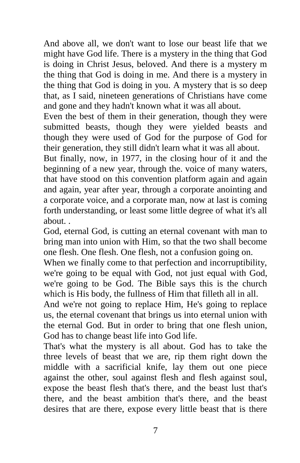And above all, we don't want to lose our beast life that we might have God life. There is a mystery in the thing that God is doing in Christ Jesus, beloved. And there is a mystery m the thing that God is doing in me. And there is a mystery in the thing that God is doing in you. A mystery that is so deep that, as I said, nineteen generations of Christians have come and gone and they hadn't known what it was all about.

Even the best of them in their generation, though they were submitted beasts, though they were yielded beasts and though they were used of God for the purpose of God for their generation, they still didn't learn what it was all about.

But finally, now, in 1977, in the closing hour of it and the beginning of a new year, through the. voice of many waters, that have stood on this convention platform again and again and again, year after year, through a corporate anointing and a corporate voice, and a corporate man, now at last is coming forth understanding, or least some little degree of what it's all about. .

God, eternal God, is cutting an eternal covenant with man to bring man into union with Him, so that the two shall become one flesh. One flesh. One flesh, not a confusion going on.

When we finally come to that perfection and incorruptibility, we're going to be equal with God, not just equal with God, we're going to be God. The Bible says this is the church which is His body, the fullness of Him that filleth all in all.

And we're not going to replace Him, He's going to replace us, the eternal covenant that brings us into eternal union with the eternal God. But in order to bring that one flesh union, God has to change beast life into God life.

That's what the mystery is all about. God has to take the three levels of beast that we are, rip them right down the middle with a sacrificial knife, lay them out one piece against the other, soul against flesh and flesh against soul, expose the beast flesh that's there, and the beast lust that's there, and the beast ambition that's there, and the beast desires that are there, expose every little beast that is there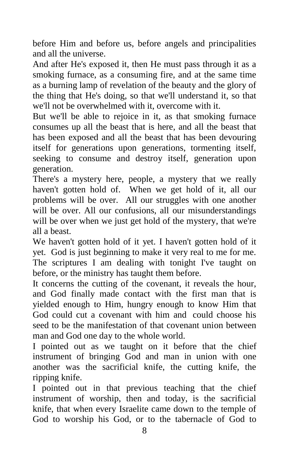before Him and before us, before angels and principalities and all the universe.

And after He's exposed it, then He must pass through it as a smoking furnace, as a consuming fire, and at the same time as a burning lamp of revelation of the beauty and the glory of the thing that He's doing, so that we'll understand it, so that we'll not be overwhelmed with it, overcome with it.

But we'll be able to rejoice in it, as that smoking furnace consumes up all the beast that is here, and all the beast that has been exposed and all the beast that has been devouring itself for generations upon generations, tormenting itself, seeking to consume and destroy itself, generation upon generation.

There's a mystery here, people, a mystery that we really haven't gotten hold of. When we get hold of it, all our problems will be over. All our struggles with one another will be over. All our confusions, all our misunderstandings will be over when we just get hold of the mystery, that we're all a beast.

We haven't gotten hold of it yet. I haven't gotten hold of it yet. God is just beginning to make it very real to me for me. The scriptures I am dealing with tonight I've taught on before, or the ministry has taught them before.

It concerns the cutting of the covenant, it reveals the hour, and God finally made contact with the first man that is yielded enough to Him, hungry enough to know Him that God could cut a covenant with him and could choose his seed to be the manifestation of that covenant union between man and God one day to the whole world.

I pointed out as we taught on it before that the chief instrument of bringing God and man in union with one another was the sacrificial knife, the cutting knife, the ripping knife.

I pointed out in that previous teaching that the chief instrument of worship, then and today, is the sacrificial knife, that when every Israelite came down to the temple of God to worship his God, or to the tabernacle of God to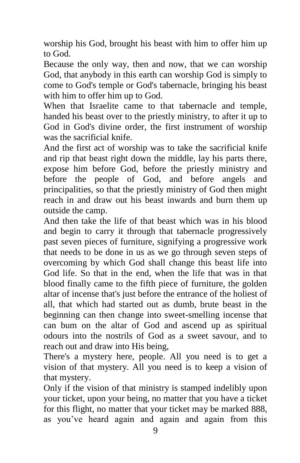worship his God, brought his beast with him to offer him up to God.

Because the only way, then and now, that we can worship God, that anybody in this earth can worship God is simply to come to God's temple or God's tabernacle, bringing his beast with him to offer him up to God.

When that Israelite came to that tabernacle and temple, handed his beast over to the priestly ministry, to after it up to God in God's divine order, the first instrument of worship was the sacrificial knife.

And the first act of worship was to take the sacrificial knife and rip that beast right down the middle, lay his parts there, expose him before God, before the priestly ministry and before the people of God, and before angels and principalities, so that the priestly ministry of God then might reach in and draw out his beast inwards and burn them up outside the camp.

And then take the life of that beast which was in his blood and begin to carry it through that tabernacle progressively past seven pieces of furniture, signifying a progressive work that needs to be done in us as we go through seven steps of overcoming by which God shall change this beast life into God life. So that in the end, when the life that was in that blood finally came to the fifth piece of furniture, the golden altar of incense that's just before the entrance of the holiest of all, that which had started out as dumb, brute beast in the beginning can then change into sweet-smelling incense that can bum on the altar of God and ascend up as spiritual odours into the nostrils of God as a sweet savour, and to reach out and draw into His being,

There's a mystery here, people. All you need is to get a vision of that mystery. All you need is to keep a vision of that mystery.

Only if the vision of that ministry is stamped indelibly upon your ticket, upon your being, no matter that you have a ticket for this flight, no matter that your ticket may be marked 888, as you've heard again and again and again from this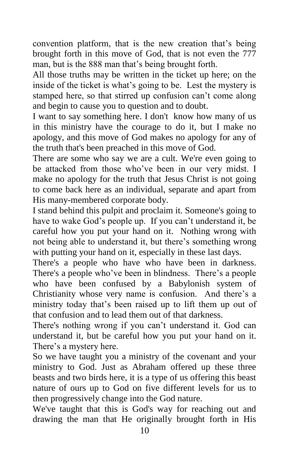convention platform, that is the new creation that's being brought forth in this move of God, that is not even the 777 man, but is the 888 man that's being brought forth.

All those truths may be written in the ticket up here; on the inside of the ticket is what's going to be. Lest the mystery is stamped here, so that stirred up confusion can't come along and begin to cause you to question and to doubt.

I want to say something here. I don't know how many of us in this ministry have the courage to do it, but I make no apology, and this move of God makes no apology for any of the truth that's been preached in this move of God.

There are some who say we are a cult. We're even going to be attacked from those who've been in our very midst. I make no apology for the truth that Jesus Christ is not going to come back here as an individual, separate and apart from His many-membered corporate body.

I stand behind this pulpit and proclaim it. Someone's going to have to wake God's people up. If you can't understand it, be careful how you put your hand on it. Nothing wrong with not being able to understand it, but there's something wrong with putting your hand on it, especially in these last days.

There's a people who have who have been in darkness. There's a people who've been in blindness. There's a people who have been confused by a Babylonish system of Christianity whose very name is confusion. And there's a ministry today that's been raised up to lift them up out of that confusion and to lead them out of that darkness.

There's nothing wrong if you can't understand it. God can understand it, but be careful how you put your hand on it. There's a mystery here.

So we have taught you a ministry of the covenant and your ministry to God. Just as Abraham offered up these three beasts and two birds here, it is a type of us offering this beast nature of ours up to God on five different levels for us to then progressively change into the God nature.

We've taught that this is God's way for reaching out and drawing the man that He originally brought forth in His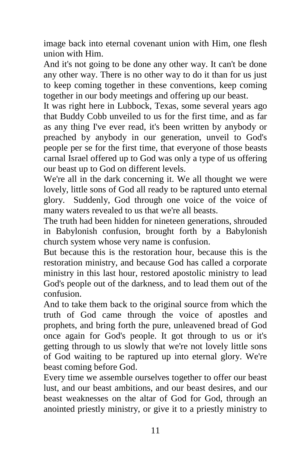image back into eternal covenant union with Him, one flesh union with Him.

And it's not going to be done any other way. It can't be done any other way. There is no other way to do it than for us just to keep coming together in these conventions, keep coming together in our body meetings and offering up our beast.

It was right here in Lubbock, Texas, some several years ago that Buddy Cobb unveiled to us for the first time, and as far as any thing I've ever read, it's been written by anybody or preached by anybody in our generation, unveil to God's people per se for the first time, that everyone of those beasts carnal Israel offered up to God was only a type of us offering our beast up to God on different levels.

We're all in the dark concerning it. We all thought we were lovely, little sons of God all ready to be raptured unto eternal glory. Suddenly, God through one voice of the voice of many waters revealed to us that we're all beasts.

The truth had been hidden for nineteen generations, shrouded in Babylonish confusion, brought forth by a Babylonish church system whose very name is confusion.

But because this is the restoration hour, because this is the restoration ministry, and because God has called a corporate ministry in this last hour, restored apostolic ministry to lead God's people out of the darkness, and to lead them out of the confusion.

And to take them back to the original source from which the truth of God came through the voice of apostles and prophets, and bring forth the pure, unleavened bread of God once again for God's people. It got through to us or it's getting through to us slowly that we're not lovely little sons of God waiting to be raptured up into eternal glory. We're beast coming before God.

Every time we assemble ourselves together to offer our beast lust, and our beast ambitions, and our beast desires, and our beast weaknesses on the altar of God for God, through an anointed priestly ministry, or give it to a priestly ministry to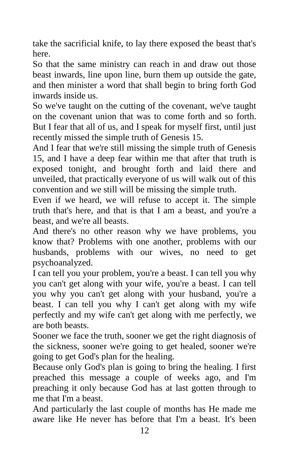take the sacrificial knife, to lay there exposed the beast that's here.

So that the same ministry can reach in and draw out those beast inwards, line upon line, burn them up outside the gate, and then minister a word that shall begin to bring forth God inwards inside us.

So we've taught on the cutting of the covenant, we've taught on the covenant union that was to come forth and so forth. But I fear that all of us, and I speak for myself first, until just recently missed the simple truth of Genesis 15.

And I fear that we're still missing the simple truth of Genesis 15, and I have a deep fear within me that after that truth is exposed tonight, and brought forth and laid there and unveiled, that practically everyone of us will walk out of this convention and we still will be missing the simple truth.

Even if we heard, we will refuse to accept it. The simple truth that's here, and that is that I am a beast, and you're a beast, and we're all beasts.

And there's no other reason why we have problems, you know that? Problems with one another, problems with our husbands, problems with our wives, no need to get psychoanalyzed.

I can tell you your problem, you're a beast. I can tell you why you can't get along with your wife, you're a beast. I can tell you why you can't get along with your husband, you're a beast. I can tell you why I can't get along with my wife perfectly and my wife can't get along with me perfectly, we are both beasts.

Sooner we face the truth, sooner we get the right diagnosis of the sickness, sooner we're going to get healed, sooner we're going to get God's plan for the healing.

Because only God's plan is going to bring the healing. I first preached this message a couple of weeks ago, and I'm preaching it only because God has at last gotten through to me that I'm a beast.

And particularly the last couple of months has He made me aware like He never has before that I'm a beast. It's been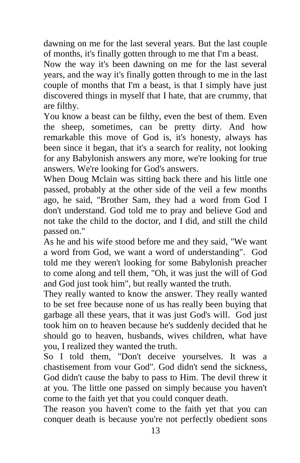dawning on me for the last several years. But the last couple of months, it's finally gotten through to me that I'm a beast.

Now the way it's been dawning on me for the last several years, and the way it's finally gotten through to me in the last couple of months that I'm a beast, is that I simply have just discovered things in myself that I hate, that are crummy, that are filthy.

You know a beast can be filthy, even the best of them. Even the sheep, sometimes, can be pretty dirty. And how remarkable this move of God is, it's honesty, always has been since it began, that it's a search for reality, not looking for any Babylonish answers any more, we're looking for true answers. We're looking for God's answers.

When Doug Mclain was sitting back there and his little one passed, probably at the other side of the veil a few months ago, he said, "Brother Sam, they had a word from God I don't understand. God told me to pray and believe God and not take the child to the doctor, and I did, and still the child passed on."

As he and his wife stood before me and they said, "We want a word from God, we want a word of understanding". God told me they weren't looking for some Babylonish preacher to come along and tell them, "Oh, it was just the will of God and God just took him", but really wanted the truth.

They really wanted to know the answer. They really wanted to be set free because none of us has really been buying that garbage all these years, that it was just God's will. God just took him on to heaven because he's suddenly decided that he should go to heaven, husbands, wives children, what have you, I realized they wanted the truth.

So I told them, "Don't deceive yourselves. It was a chastisement from vour God". God didn't send the sickness, God didn't cause the baby to pass to Him. The devil threw it at you. The little one passed on simply because you haven't come to the faith yet that you could conquer death.

The reason you haven't come to the faith yet that you can conquer death is because you're not perfectly obedient sons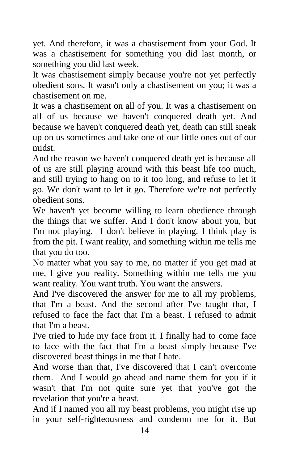yet. And therefore, it was a chastisement from your God. It was a chastisement for something you did last month, or something you did last week.

It was chastisement simply because you're not yet perfectly obedient sons. It wasn't only a chastisement on you; it was a chastisement on me.

It was a chastisement on all of you. It was a chastisement on all of us because we haven't conquered death yet. And because we haven't conquered death yet, death can still sneak up on us sometimes and take one of our little ones out of our midst.

And the reason we haven't conquered death yet is because all of us are still playing around with this beast life too much, and still trying to hang on to it too long, and refuse to let it go. We don't want to let it go. Therefore we're not perfectly obedient sons.

We haven't yet become willing to learn obedience through the things that we suffer. And I don't know about you, but I'm not playing. I don't believe in playing. I think play is from the pit. I want reality, and something within me tells me that you do too.

No matter what you say to me, no matter if you get mad at me, I give you reality. Something within me tells me you want reality. You want truth. You want the answers.

And I've discovered the answer for me to all my problems, that I'm a beast. And the second after I've taught that, I refused to face the fact that I'm a beast. I refused to admit that I'm a beast.

I've tried to hide my face from it. I finally had to come face to face with the fact that I'm a beast simply because I've discovered beast things in me that I hate.

And worse than that, I've discovered that I can't overcome them. And I would go ahead and name them for you if it wasn't that I'm not quite sure yet that you've got the revelation that you're a beast.

And if I named you all my beast problems, you might rise up in your self-righteousness and condemn me for it. But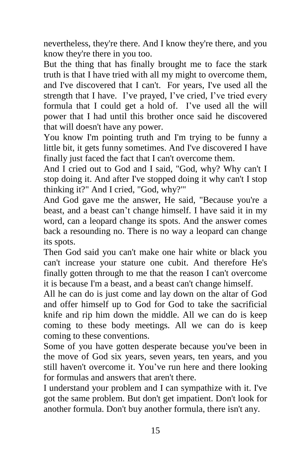nevertheless, they're there. And I know they're there, and you know they're there in you too.

But the thing that has finally brought me to face the stark truth is that I have tried with all my might to overcome them, and I've discovered that I can't. For years, I've used all the strength that I have. I've prayed, I've cried, I've tried every formula that I could get a hold of. I've used all the will power that I had until this brother once said he discovered that will doesn't have any power.

You know I'm pointing truth and I'm trying to be funny a little bit, it gets funny sometimes. And I've discovered I have finally just faced the fact that I can't overcome them.

And I cried out to God and I said, "God, why? Why can't I stop doing it. And after I've stopped doing it why can't I stop thinking it?" And I cried, "God, why?'"

And God gave me the answer, He said, "Because you're a beast, and a beast can't change himself. I have said it in my word, can a leopard change its spots. And the answer comes back a resounding no. There is no way a leopard can change its spots.

Then God said you can't make one hair white or black you can't increase your stature one cubit. And therefore He's finally gotten through to me that the reason I can't overcome it is because I'm a beast, and a beast can't change himself.

All he can do is just come and lay down on the altar of God and offer himself up to God for God to take the sacrificial knife and rip him down the middle. All we can do is keep coming to these body meetings. All we can do is keep coming to these conventions.

Some of you have gotten desperate because you've been in the move of God six years, seven years, ten years, and you still haven't overcome it. You've run here and there looking for formulas and answers that aren't there.

I understand your problem and I can sympathize with it. I've got the same problem. But don't get impatient. Don't look for another formula. Don't buy another formula, there isn't any.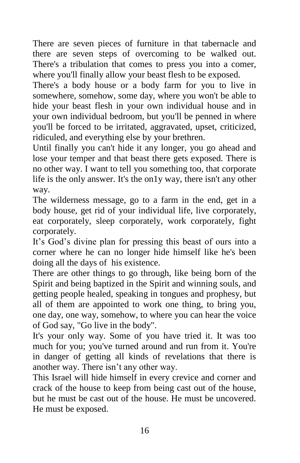There are seven pieces of furniture in that tabernacle and there are seven steps of overcoming to be walked out. There's a tribulation that comes to press you into a comer, where you'll finally allow your beast flesh to be exposed.

There's a body house or a body farm for you to live in somewhere, somehow, some day, where you won't be able to hide your beast flesh in your own individual house and in your own individual bedroom, but you'll be penned in where you'll be forced to be irritated, aggravated, upset, criticized, ridiculed, and everything else by your brethren.

Until finally you can't hide it any longer, you go ahead and lose your temper and that beast there gets exposed. There is no other way. I want to tell you something too, that corporate life is the only answer. It's the on1y way, there isn't any other way.

The wilderness message, go to a farm in the end, get in a body house, get rid of your individual life, live corporately, eat corporately, sleep corporately, work corporately, fight corporately.

It's God's divine plan for pressing this beast of ours into a corner where he can no longer hide himself like he's been doing all the days of his existence.

There are other things to go through, like being born of the Spirit and being baptized in the Spirit and winning souls, and getting people healed, speaking in tongues and prophesy, but all of them are appointed to work one thing, to bring you, one day, one way, somehow, to where you can hear the voice of God say, "Go live in the body".

It's your only way. Some of you have tried it. It was too much for you; you've turned around and run from it. You're in danger of getting all kinds of revelations that there is another way. There isn't any other way.

This Israel will hide himself in every crevice and corner and crack of the house to keep from being cast out of the house, but he must be cast out of the house. He must be uncovered. He must be exposed.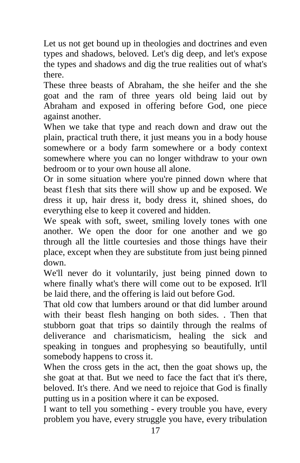Let us not get bound up in theologies and doctrines and even types and shadows, beloved. Let's dig deep, and let's expose the types and shadows and dig the true realities out of what's there.

These three beasts of Abraham, the she heifer and the she goat and the ram of three years old being laid out by Abraham and exposed in offering before God, one piece against another.

When we take that type and reach down and draw out the plain, practical truth there, it just means you in a body house somewhere or a body farm somewhere or a body context somewhere where you can no longer withdraw to your own bedroom or to your own house all alone.

Or in some situation where you're pinned down where that beast f1esh that sits there will show up and be exposed. We dress it up, hair dress it, body dress it, shined shoes, do everything else to keep it covered and hidden.

We speak with soft, sweet, smiling lovely tones with one another. We open the door for one another and we go through all the little courtesies and those things have their place, except when they are substitute from just being pinned down.

We'll never do it voluntarily, just being pinned down to where finally what's there will come out to be exposed. It'll be laid there, and the offering is laid out before God.

That old cow that lumbers around or that did lumber around with their beast flesh hanging on both sides. . Then that stubborn goat that trips so daintily through the realms of deliverance and charismaticism, healing the sick and speaking in tongues and prophesying so beautifully, until somebody happens to cross it.

When the cross gets in the act, then the goat shows up, the she goat at that. But we need to face the fact that it's there, beloved. It's there. And we need to rejoice that God is finally putting us in a position where it can be exposed.

I want to tell you something - every trouble you have, every problem you have, every struggle you have, every tribulation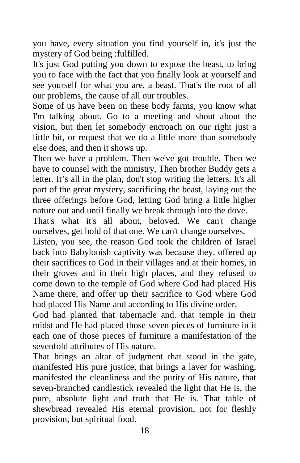you have, every situation you find yourself in, it's just the mystery of God being :fulfilled.

It's just God putting you down to expose the beast, to bring you to face with the fact that you finally look at yourself and see yourself for what you are, a beast. That's the root of all our problems, the cause of all our troubles.

Some of us have been on these body farms, you know what I'm talking about. Go to a meeting and shout about the vision, but then let somebody encroach on our right just a little bit, or request that we do a little more than somebody else does, and then it shows up.

Then we have a problem. Then we've got trouble. Then we have to counsel with the ministry, Then brother Buddy gets a letter. It's all in the plan, don't stop writing the letters. It's all part of the great mystery, sacrificing the beast, laying out the three offerings before God, letting God bring a little higher nature out and until finally we break through into the dove.

That's what it's all about, beloved. We can't change ourselves, get hold of that one. We can't change ourselves.

Listen, you see, the reason God took the children of Israel back into Babylonish captivity was because they. offered up their sacrifices to God in their villages and at their homes, in their groves and in their high places, and they refused to come down to the temple of God where God had placed His Name there, and offer up their sacrifice to God where God had placed His Name and according to His divine order,

God had planted that tabernacle and. that temple in their midst and He had placed those seven pieces of furniture in it each one of those pieces of furniture a manifestation of the sevenfold attributes of His nature.

That brings an altar of judgment that stood in the gate, manifested His pure justice, that brings a laver for washing, manifested the cleanliness and the purity of His nature, that seven-branched candlestick revealed the light that He is, the pure, absolute light and truth that He is. That table of shewbread revealed His eternal provision, not for fleshly provision, but spiritual food.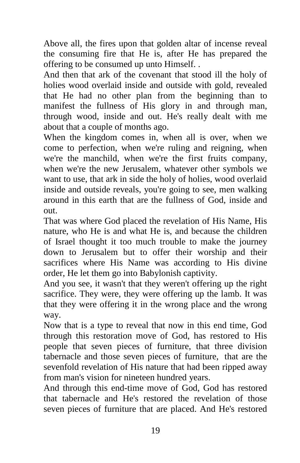Above all, the fires upon that golden altar of incense reveal the consuming fire that He is, after He has prepared the offering to be consumed up unto Himself. .

And then that ark of the covenant that stood ill the holy of holies wood overlaid inside and outside with gold, revealed that He had no other plan from the beginning than to manifest the fullness of His glory in and through man, through wood, inside and out. He's really dealt with me about that a couple of months ago.

When the kingdom comes in, when all is over, when we come to perfection, when we're ruling and reigning, when we're the manchild, when we're the first fruits company, when we're the new Jerusalem, whatever other symbols we want to use, that ark in side the holy of holies, wood overlaid inside and outside reveals, you're going to see, men walking around in this earth that are the fullness of God, inside and out.

That was where God placed the revelation of His Name, His nature, who He is and what He is, and because the children of Israel thought it too much trouble to make the journey down to Jerusalem but to offer their worship and their sacrifices where His Name was according to His divine order, He let them go into Babylonish captivity.

And you see, it wasn't that they weren't offering up the right sacrifice. They were, they were offering up the lamb. It was that they were offering it in the wrong place and the wrong way.

Now that is a type to reveal that now in this end time, God through this restoration move of God, has restored to His people that seven pieces of furniture, that three division tabernacle and those seven pieces of furniture, that are the sevenfold revelation of His nature that had been ripped away from man's vision for nineteen hundred years.

And through this end-time move of God, God has restored that tabernacle and He's restored the revelation of those seven pieces of furniture that are placed. And He's restored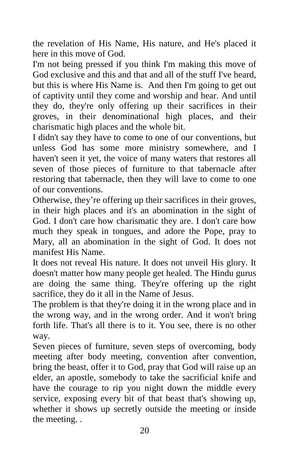the revelation of His Name, His nature, and He's placed it here in this move of God.

I'm not being pressed if you think I'm making this move of God exclusive and this and that and all of the stuff I've heard, but this is where His Name is. And then I'm going to get out of captivity until they come and worship and hear. And until they do, they're only offering up their sacrifices in their groves, in their denominational high places, and their charismatic high places and the whole bit.

I didn't say they have to come to one of our conventions, but unless God has some more ministry somewhere, and I haven't seen it yet, the voice of many waters that restores all seven of those pieces of furniture to that tabernacle after restoring that tabernacle, then they will lave to come to one of our conventions.

Otherwise, they're offering up their sacrifices in their groves, in their high places and it's an abomination in the sight of God. I don't care how charismatic they are. I don't care how much they speak in tongues, and adore the Pope, pray to Mary, all an abomination in the sight of God. It does not manifest His Name.

It does not reveal His nature. It does not unveil His glory. It doesn't matter how many people get healed. The Hindu gurus are doing the same thing. They're offering up the right sacrifice, they do it all in the Name of Jesus.

The problem is that they're doing it in the wrong place and in the wrong way, and in the wrong order. And it won't bring forth life. That's all there is to it. You see, there is no other way.

Seven pieces of furniture, seven steps of overcoming, body meeting after body meeting, convention after convention, bring the beast, offer it to God, pray that God will raise up an elder, an apostle, somebody to take the sacrificial knife and have the courage to rip you night down the middle every service, exposing every bit of that beast that's showing up, whether it shows up secretly outside the meeting or inside the meeting. .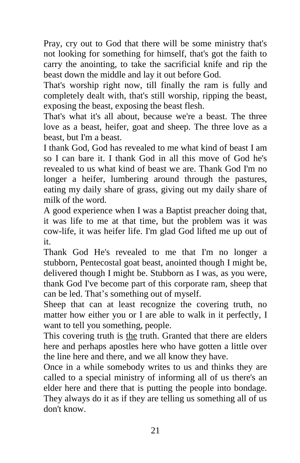Pray, cry out to God that there will be some ministry that's not looking for something for himself, that's got the faith to carry the anointing, to take the sacrificial knife and rip the beast down the middle and lay it out before God.

That's worship right now, till finally the ram is fully and completely dealt with, that's still worship, ripping the beast, exposing the beast, exposing the beast flesh.

That's what it's all about, because we're a beast. The three love as a beast, heifer, goat and sheep. The three love as a beast, but I'm a beast.

I thank God, God has revealed to me what kind of beast I am so I can bare it. I thank God in all this move of God he's revealed to us what kind of beast we are. Thank God I'm no longer a heifer, lumbering around through the pastures, eating my daily share of grass, giving out my daily share of milk of the word.

A good experience when I was a Baptist preacher doing that, it was life to me at that time, but the problem was it was cow-life, it was heifer life. I'm glad God lifted me up out of it.

Thank God He's revealed to me that I'm no longer a stubborn, Pentecostal goat beast, anointed though I might be, delivered though I might be. Stubborn as I was, as you were, thank God I've become part of this corporate ram, sheep that can be led. That's something out of myself.

Sheep that can at least recognize the covering truth, no matter how either you or I are able to walk in it perfectly, I want to tell you something, people.

This covering truth is the truth. Granted that there are elders here and perhaps apostles here who have gotten a little over the line here and there, and we all know they have.

Once in a while somebody writes to us and thinks they are called to a special ministry of informing all of us there's an elder here and there that is putting the people into bondage. They always do it as if they are telling us something all of us don't know.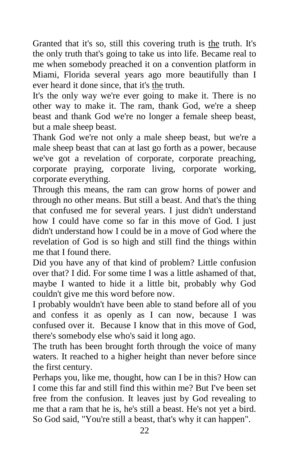Granted that it's so, still this covering truth is the truth. It's the only truth that's going to take us into life. Became real to me when somebody preached it on a convention platform in Miami, Florida several years ago more beautifully than I ever heard it done since, that it's the truth.

It's the only way we're ever going to make it. There is no other way to make it. The ram, thank God, we're a sheep beast and thank God we're no longer a female sheep beast, but a male sheep beast.

Thank God we're not only a male sheep beast, but we're a male sheep beast that can at last go forth as a power, because we've got a revelation of corporate, corporate preaching, corporate praying, corporate living, corporate working, corporate everything.

Through this means, the ram can grow horns of power and through no other means. But still a beast. And that's the thing that confused me for several years. I just didn't understand how I could have come so far in this move of God. I just didn't understand how I could be in a move of God where the revelation of God is so high and still find the things within me that I found there.

Did you have any of that kind of problem? Little confusion over that? I did. For some time I was a little ashamed of that, maybe I wanted to hide it a little bit, probably why God couldn't give me this word before now.

I probably wouldn't have been able to stand before all of you and confess it as openly as I can now, because I was confused over it. Because I know that in this move of God, there's somebody else who's said it long ago.

The truth has been brought forth through the voice of many waters. It reached to a higher height than never before since the first century.

Perhaps you, like me, thought, how can I be in this? How can I come this far and still find this within me? But I've been set free from the confusion. It leaves just by God revealing to me that a ram that he is, he's still a beast. He's not yet a bird. So God said, "You're still a beast, that's why it can happen".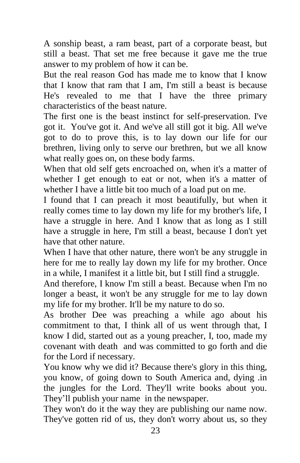A sonship beast, a ram beast, part of a corporate beast, but still a beast. That set me free because it gave me the true answer to my problem of how it can be.

But the real reason God has made me to know that I know that I know that ram that I am, I'm still a beast is because He's revealed to me that I have the three primary characteristics of the beast nature.

The first one is the beast instinct for self-preservation. I've got it. You've got it. And we've all still got it big. All we've got to do to prove this, is to lay down our life for our brethren, living only to serve our brethren, but we all know what really goes on, on these body farms.

When that old self gets encroached on, when it's a matter of whether I get enough to eat or not, when it's a matter of whether I have a little bit too much of a load put on me.

I found that I can preach it most beautifully, but when it really comes time to lay down my life for my brother's life, I have a struggle in here. And I know that as long as I still have a struggle in here, I'm still a beast, because I don't yet have that other nature.

When I have that other nature, there won't be any struggle in here for me to really lay down my life for my brother. Once in a while, I manifest it a little bit, but I still find a struggle.

And therefore, I know I'm still a beast. Because when I'm no longer a beast, it won't be any struggle for me to lay down my life for my brother. It'll be my nature to do so.

As brother Dee was preaching a while ago about his commitment to that, I think all of us went through that, I know I did, started out as a young preacher, I, too, made my covenant with death and was committed to go forth and die for the Lord if necessary.

You know why we did it? Because there's glory in this thing, you know, of going down to South America and, dying .in the jungles for the Lord. They'll write books about you. They'll publish your name in the newspaper.

They won't do it the way they are publishing our name now. They've gotten rid of us, they don't worry about us, so they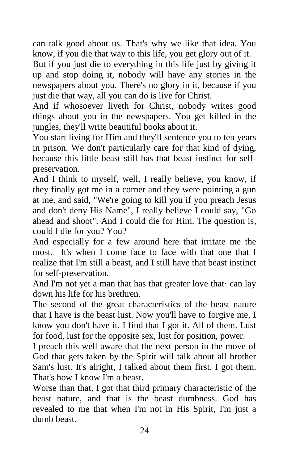can talk good about us. That's why we like that idea. You know, if you die that way to this life, you get glory out of it.

But if you just die to everything in this life just by giving it up and stop doing it, nobody will have any stories in the newspapers about you. There's no glory in it, because if you just die that way, all you can do is live for Christ.

And if whosoever liveth for Christ, nobody writes good things about you in the newspapers. You get killed in the jungles, they'll write beautiful books about it.

You start living for Him and they'll sentence you to ten years in prison. We don't particularly care for that kind of dying, because this little beast still has that beast instinct for selfpreservation.

And I think to myself, well, I really believe, you know, if they finally got me in a corner and they were pointing a gun at me, and said, "We're going to kill you if you preach Jesus and don't deny His Name", I really believe I could say, "Go ahead and shoot". And I could die for Him. The question is, could I die for you? You?

And especially for a few around here that irritate me the most. It's when I come face to face with that one that I realize that I'm still a beast, and I still have that beast instinct for self-preservation.

And I'm not yet a man that has that greater love that· can lay down his life for his brethren.

The second of the great characteristics of the beast nature that I have is the beast lust. Now you'll have to forgive me, I know you don't have it. I find that I got it. All of them. Lust for food, lust for the opposite sex, lust for position, power.

I preach this well aware that the next person in the move of God that gets taken by the Spirit will talk about all brother Sam's lust. It's alright, I talked about them first. I got them. That's how I know I'm a beast.

Worse than that, I got that third primary characteristic of the beast nature, and that is the beast dumbness. God has revealed to me that when I'm not in His Spirit, I'm just a dumb beast.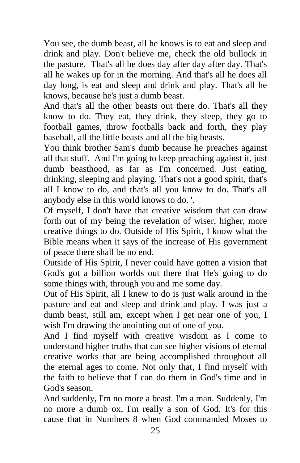You see, the dumb beast, all he knows is to eat and sleep and drink and play. Don't believe me, check the old bullock in the pasture. That's all he does day after day after day. That's all he wakes up for in the morning. And that's all he does all day long, is eat and sleep and drink and play. That's all he knows, because he's just a dumb beast.

And that's all the other beasts out there do. That's all they know to do. They eat, they drink, they sleep, they go to football games, throw footballs back and forth, they play baseball, all the little beasts and all the big beasts.

You think brother Sam's dumb because he preaches against all that stuff. And I'm going to keep preaching against it, just dumb beasthood, as far as I'm concerned. Just eating, drinking, sleeping and playing. That's not a good spirit, that's all I know to do, and that's all you know to do. That's all anybody else in this world knows to do. '.

Of myself, I don't have that creative wisdom that can draw forth out of my being the revelation of wiser, higher, more creative things to do. Outside of His Spirit, I know what the Bible means when it says of the increase of His government of peace there shall be no end.

Outside of His Spirit, I never could have gotten a vision that God's got a billion worlds out there that He's going to do some things with, through you and me some day.

Out of His Spirit, all I knew to do is just walk around in the pasture and eat and sleep and drink and play. I was just a dumb beast, still am, except when I get near one of you, I wish I'm drawing the anointing out of one of you.

And I find myself with creative wisdom as I come to understand higher truths that can see higher visions of eternal creative works that are being accomplished throughout all the eternal ages to come. Not only that, I find myself with the faith to believe that I can do them in God's time and in God's season.

And suddenly, I'm no more a beast. I'm a man. Suddenly, I'm no more a dumb ox, I'm really a son of God. It's for this cause that in Numbers 8 when God commanded Moses to